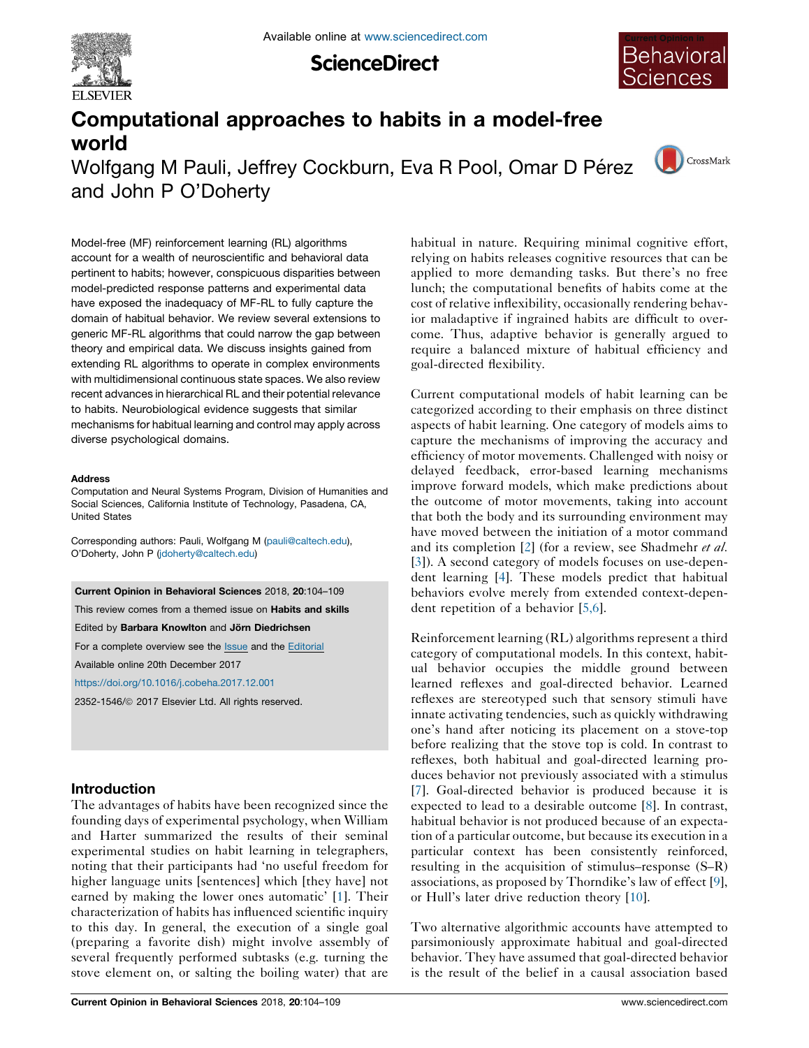

**ScienceDirect** 



# Computational approaches to habits in a model-free world Wolfgang M Pauli, Jeffrey Cockburn, Eva R Pool, Omar D Pérez



Model-free (MF) reinforcement learning (RL) algorithms account for a wealth of neuroscientific and behavioral data pertinent to habits; however, conspicuous disparities between model-predicted response patterns and experimental data have exposed the inadequacy of MF-RL to fully capture the domain of habitual behavior. We review several extensions to generic MF-RL algorithms that could narrow the gap between theory and empirical data. We discuss insights gained from extending RL algorithms to operate in complex environments with multidimensional continuous state spaces. We also review recent advances in hierarchical RL and their potential relevance to habits. Neurobiological evidence suggests that similar mechanisms for habitual learning and control may apply across diverse psychological domains.

and John P O'Doherty

#### Address

Computation and Neural Systems Program, Division of Humanities and Social Sciences, California Institute of Technology, Pasadena, CA, United States

Corresponding authors: Pauli, Wolfgang M [\(pauli@caltech.edu\)](mailto:pauli@caltech.edu), O'Doherty, John P ([jdoherty@caltech.edu\)](mailto:jdoherty@caltech.edu)

Current Opinion in Behavioral Sciences 2018, 20:104–109

This review comes from a themed issue on Habits and skills

Edited by Barbara Knowlton and Jörn Diedrichsen

For a complete overview see the **[Issue](http://www.sciencedirect.com/science/journal/23521546/20)** and the [Editorial](http://dx.doi.org/10.1016/j.cobeha.2018.02.009)

Available online 20th December 2017

[https://doi.org/10.1016/j.cobeha.2017.12.001](http://dx.doi.org/10.1016/j.cobeha.2017.12.001)

2352-1546/ã 2017 Elsevier Ltd. All rights reserved.

## Introduction

The advantages of habits have been recognized since the founding days of experimental psychology, when William and Harter summarized the results of their seminal experimental studies on habit learning in telegraphers, noting that their participants had 'no useful freedom for higher language units [sentences] which [they have] not earned by making the lower ones automatic' [\[1](#page-3-0)]. Their characterization of habits has influenced scientific inquiry to this day. In general, the execution of a single goal (preparing a favorite dish) might involve assembly of several frequently performed subtasks (e.g. turning the stove element on, or salting the boiling water) that are

habitual in nature. Requiring minimal cognitive effort, relying on habits releases cognitive resources that can be applied to more demanding tasks. But there's no free lunch; the computational benefits of habits come at the cost of relative inflexibility, occasionally rendering behavior maladaptive if ingrained habits are difficult to overcome. Thus, adaptive behavior is generally argued to require a balanced mixture of habitual efficiency and goal-directed flexibility.

Current computational models of habit learning can be categorized according to their emphasis on three distinct aspects of habit learning. One category of models aims to capture the mechanisms of improving the accuracy and efficiency of motor movements. Challenged with noisy or delayed feedback, error-based learning mechanisms improve forward models, which make predictions about the outcome of motor movements, taking into account that both the body and its surrounding environment may have moved between the initiation of a motor command and its completion [\[2](#page-3-0)] (for a review, see Shadmehr *et al.*) [\[3](#page-3-0)]). A second category of models focuses on use-dependent learning [[4\]](#page-3-0). These models predict that habitual behaviors evolve merely from extended context-dependent repetition of a behavior [\[5,6\]](#page-3-0).

Reinforcement learning (RL) algorithms represent a third category of computational models. In this context, habitual behavior occupies the middle ground between learned reflexes and goal-directed behavior. Learned reflexes are stereotyped such that sensory stimuli have innate activating tendencies, such as quickly withdrawing one's hand after noticing its placement on a stove-top before realizing that the stove top is cold. In contrast to reflexes, both habitual and goal-directed learning produces behavior not previously associated with a stimulus [\[7](#page-3-0)]. Goal-directed behavior is produced because it is expected to lead to a desirable outcome [\[8](#page-3-0)]. In contrast, habitual behavior is not produced because of an expectation of a particular outcome, but because its execution in a particular context has been consistently reinforced, resulting in the acquisition of stimulus–response (S–R) associations, as proposed by Thorndike's law of effect [[9](#page-3-0)], or Hull's later drive reduction theory [[10\]](#page-3-0).

Two alternative algorithmic accounts have attempted to parsimoniously approximate habitual and goal-directed behavior. They have assumed that goal-directed behavior is the result of the belief in a causal association based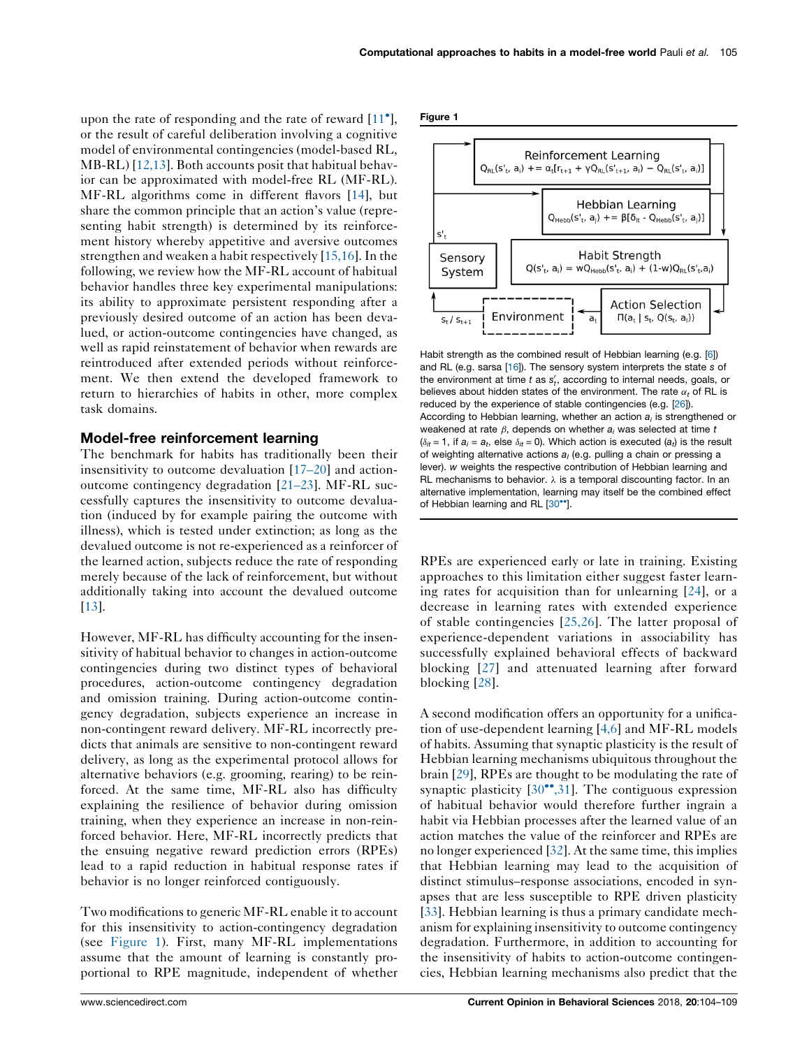upon the rate of responding and the rate of reward [[11](#page-3-0) ], or the result of careful deliberation involving a cognitive model of environmental contingencies (model-based RL, MB-RL) [\[12,13\]](#page-3-0). Both accounts posit that habitual behavior can be approximated with model-free RL (MF-RL). MF-RL algorithms come in different flavors [\[14](#page-3-0)], but share the common principle that an action's value (representing habit strength) is determined by its reinforcement history whereby appetitive and aversive outcomes strengthen and weaken a habit respectively [\[15,16](#page-3-0)]. In the following, we review how the MF-RL account of habitual behavior handles three key experimental manipulations: its ability to approximate persistent responding after a previously desired outcome of an action has been devalued, or action-outcome contingencies have changed, as well as rapid reinstatement of behavior when rewards are reintroduced after extended periods without reinforcement. We then extend the developed framework to return to hierarchies of habits in other, more complex task domains.

## Model-free reinforcement learning

The benchmark for habits has traditionally been their insensitivity to outcome devaluation [\[17–20](#page-3-0)] and actionoutcome contingency degradation [[21–23\]](#page-3-0). MF-RL successfully captures the insensitivity to outcome devaluation (induced by for example pairing the outcome with illness), which is tested under extinction; as long as the devalued outcome is not re-experienced as a reinforcer of the learned action, subjects reduce the rate of responding merely because of the lack of reinforcement, but without additionally taking into account the devalued outcome [\[13](#page-3-0)].

However, MF-RL has difficulty accounting for the insensitivity of habitual behavior to changes in action-outcome contingencies during two distinct types of behavioral procedures, action-outcome contingency degradation and omission training. During action-outcome contingency degradation, subjects experience an increase in non-contingent reward delivery. MF-RL incorrectly predicts that animals are sensitive to non-contingent reward delivery, as long as the experimental protocol allows for alternative behaviors (e.g. grooming, rearing) to be reinforced. At the same time, MF-RL also has difficulty explaining the resilience of behavior during omission training, when they experience an increase in non-reinforced behavior. Here, MF-RL incorrectly predicts that the ensuing negative reward prediction errors (RPEs) lead to a rapid reduction in habitual response rates if behavior is no longer reinforced contiguously.

Two modifications to generic MF-RL enable it to account for this insensitivity to action-contingency degradation (see Figure 1). First, many MF-RL implementations assume that the amount of learning is constantly proportional to RPE magnitude, independent of whether Figure 1



Habit strength as the combined result of Hebbian learning (e.g. [[6](#page-3-0)]) and RL (e.g. sarsa [[16\]](#page-3-0)). The sensory system interprets the state s of the environment at time  $t$  as  $s'_{t}$ , according to internal needs, goals, or believes about hidden states of the environment. The rate  $\alpha_t$  of RL is reduced by the experience of stable contingencies (e.g. [[26](#page-3-0)]). According to Hebbian learning, whether an action  $a_i$  is strengthened or weakened at rate  $\beta$ , depends on whether  $a_i$  was selected at time t  $(\delta_{it} = 1)$ , if  $a_i = a_t$ , else  $\delta_{it} = 0$ ). Which action is executed  $(a_t)$  is the result of weighting alternative actions  $a<sub>l</sub>$  (e.g. pulling a chain or pressing a lever). w weights the respective contribution of Hebbian learning and RL mechanisms to behavior.  $\lambda$  is a temporal discounting factor. In an alternative implementation, learning may itself be the combined effect of Hebbian learning and RL  $[30^{\circ}]$  $[30^{\circ}]$  $[30^{\circ}]$ .

RPEs are experienced early or late in training. Existing approaches to this limitation either suggest faster learning rates for acquisition than for unlearning [[24](#page-3-0)], or a decrease in learning rates with extended experience of stable contingencies [\[25,26](#page-3-0)]. The latter proposal of experience-dependent variations in associability has successfully explained behavioral effects of backward blocking [[27](#page-3-0)] and attenuated learning after forward blocking [[28](#page-3-0)].

A second modification offers an opportunity for a unification of use-dependent learning [[4,6](#page-3-0)] and MF-RL models of habits. Assuming that synaptic plasticity is the result of Hebbian learning mechanisms ubiquitous throughout the brain [[29\]](#page-3-0), RPEs are thought to be modulating the rate of synaptic plasticity  $[30\degree, 31]$ . The contiguous expression of habitual behavior would therefore further ingrain a habit via Hebbian processes after the learned value of an action matches the value of the reinforcer and RPEs are no longer experienced [[32\]](#page-3-0). At the same time, this implies that Hebbian learning may lead to the acquisition of distinct stimulus–response associations, encoded in synapses that are less susceptible to RPE driven plasticity [[33](#page-4-0)]. Hebbian learning is thus a primary candidate mechanism for explaining insensitivity to outcome contingency degradation. Furthermore, in addition to accounting for the insensitivity of habits to action-outcome contingencies, Hebbian learning mechanisms also predict that the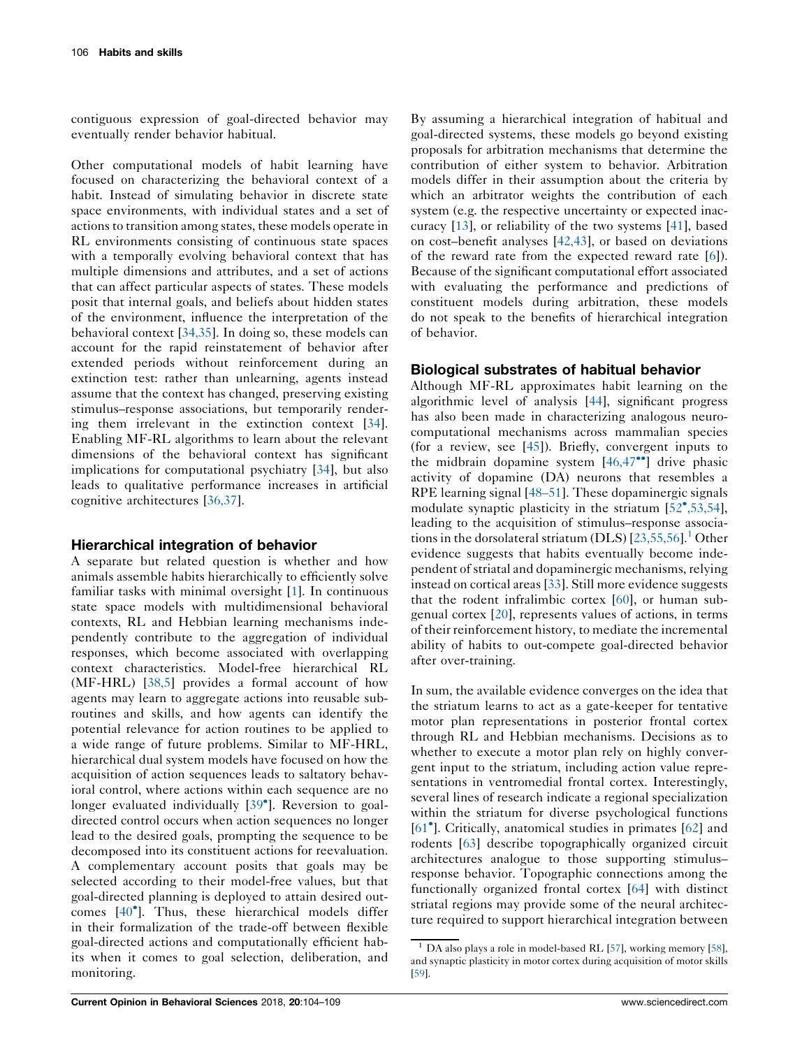contiguous expression of goal-directed behavior may eventually render behavior habitual.

Other computational models of habit learning have focused on characterizing the behavioral context of a habit. Instead of simulating behavior in discrete state space environments, with individual states and a set of actions to transition among states, these models operate in RL environments consisting of continuous state spaces with a temporally evolving behavioral context that has multiple dimensions and attributes, and a set of actions that can affect particular aspects of states. These models posit that internal goals, and beliefs about hidden states of the environment, influence the interpretation of the behavioral context [[34,35](#page-4-0)]. In doing so, these models can account for the rapid reinstatement of behavior after extended periods without reinforcement during an extinction test: rather than unlearning, agents instead assume that the context has changed, preserving existing stimulus–response associations, but temporarily rendering them irrelevant in the extinction context [\[34](#page-4-0)]. Enabling MF-RL algorithms to learn about the relevant dimensions of the behavioral context has significant implications for computational psychiatry [[34\]](#page-4-0), but also leads to qualitative performance increases in artificial cognitive architectures [\[36,37\]](#page-4-0).

## Hierarchical integration of behavior

A separate but related question is whether and how animals assemble habits hierarchically to efficiently solve familiar tasks with minimal oversight [[1\]](#page-3-0). In continuous state space models with multidimensional behavioral contexts, RL and Hebbian learning mechanisms independently contribute to the aggregation of individual responses, which become associated with overlapping context characteristics. Model-free hierarchical RL (MF-HRL) [[38,5](#page-4-0)] provides a formal account of how agents may learn to aggregate actions into reusable subroutines and skills, and how agents can identify the potential relevance for action routines to be applied to a wide range of future problems. Similar to MF-HRL, hierarchical dual system models have focused on how the acquisition of action sequences leads to saltatory behavioral control, where actions within each sequence are no longer evaluated individually [39<sup>°</sup>]. [Reversion](#page-4-0) to goaldirected control occurs when action sequences no longer lead to the desired goals, prompting the sequence to be decomposed into its constituent actions for reevaluation. A complementary account posits that goals may be selected according to their model-free values, but that goal-directed planning is deployed to attain desired outcomes [40 ]. Thus, these [hierarchical](#page-4-0) models differ in their formalization of the trade-off between flexible goal-directed actions and computationally efficient habits when it comes to goal selection, deliberation, and monitoring.

By assuming a hierarchical integration of habitual and goal-directed systems, these models go beyond existing proposals for arbitration mechanisms that determine the contribution of either system to behavior. Arbitration models differ in their assumption about the criteria by which an arbitrator weights the contribution of each system (e.g. the respective uncertainty or expected inaccuracy [\[13](#page-3-0)], or reliability of the two systems [[41\]](#page-4-0), based on cost–benefit analyses [\[42,43\]](#page-4-0), or based on deviations of the reward rate from the expected reward rate [\[6](#page-3-0)]). Because of the significant computational effort associated with evaluating the performance and predictions of constituent models during arbitration, these models do not speak to the benefits of hierarchical integration of behavior.

## Biological substrates of habitual behavior

Although MF-RL approximates habit learning on the algorithmic level of analysis [\[44](#page-4-0)], significant progress has also been made in characterizing analogous neurocomputational mechanisms across mammalian species (for a review, see [[45\]](#page-4-0)). Briefly, convergent inputs to the midbrain dopamine system  $[46,47^{\bullet\bullet}]$  drive [phasic](#page-4-0) activity of dopamine (DA) neurons that resembles a RPE learning signal [[48–51\]](#page-4-0). These dopaminergic signals modulate synaptic plasticity in the striatum [52°[,53,54](#page-4-0)], leading to the acquisition of stimulus–response associations in the dorsolateral striatum (DLS)  $[23,55,56]$  $[23,55,56]$ .<sup>1</sup> Other evidence suggests that habits eventually become independent of striatal and dopaminergic mechanisms, relying instead on cortical areas [\[33](#page-4-0)]. Still more evidence suggests that the rodent infralimbic cortex [[60\]](#page-4-0), or human subgenual cortex [[20\]](#page-3-0), represents values of actions, in terms of their reinforcement history, to mediate the incremental ability of habits to out-compete goal-directed behavior after over-training.

In sum, the available evidence converges on the idea that the striatum learns to act as a gate-keeper for tentative motor plan representations in posterior frontal cortex through RL and Hebbian mechanisms. Decisions as to whether to execute a motor plan rely on highly convergent input to the striatum, including action value representations in ventromedial frontal cortex. Interestingly, several lines of research indicate a regional specialization within the striatum for diverse psychological functions [61 ]. Critically, [anatomical](#page-4-0) studies in primates [\[62](#page-4-0)] and rodents [[63\]](#page-4-0) describe topographically organized circuit architectures analogue to those supporting stimulus– response behavior. Topographic connections among the functionally organized frontal cortex [\[64](#page-5-0)] with distinct striatal regions may provide some of the neural architecture required to support hierarchical integration between

 $1$  DA also plays a role in model-based RL [\[57](#page-4-0)], working memory [[58\]](#page-4-0), and synaptic plasticity in motor cortex during acquisition of motor skills [[59\]](#page-4-0).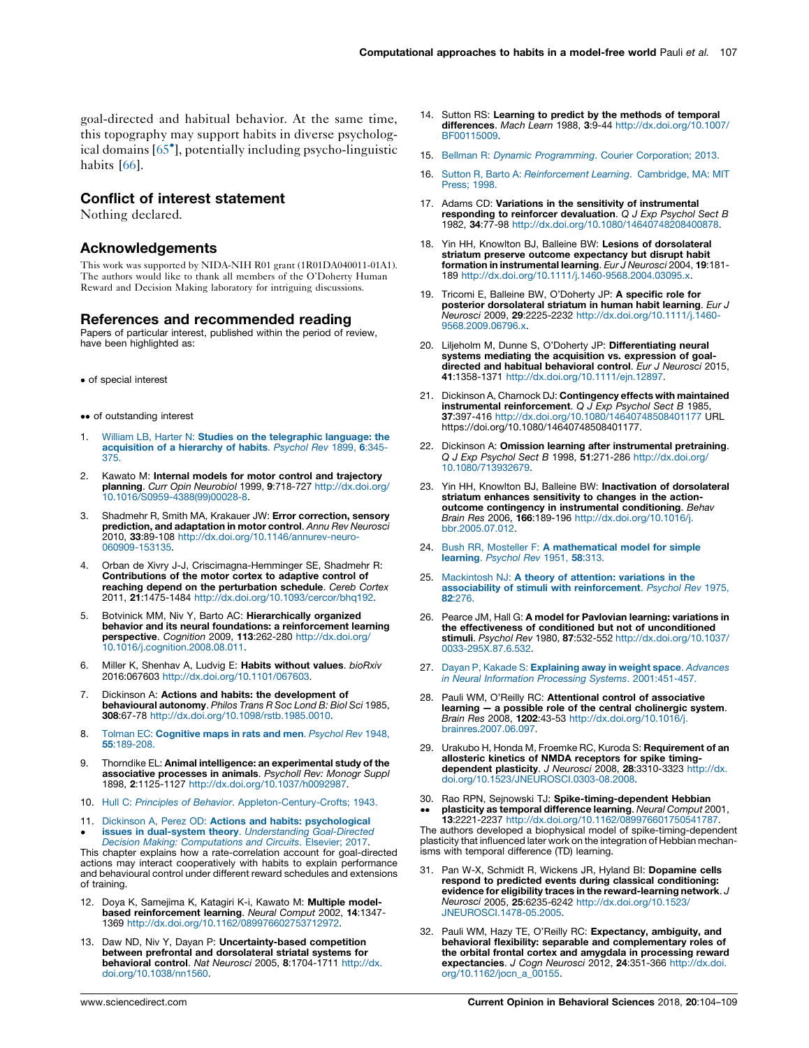<span id="page-3-0"></span>goal-directed and habitual behavior. At the same time, this topography may support habits in diverse psychological domains [65 ], potentially including [psycho-linguistic](#page-5-0) habits [\[66](#page-5-0)].

### Conflict of interest statement

Nothing declared.

#### Acknowledgements

This work was supported by NIDA-NIH R01 grant (1R01DA040011-01A1). The authors would like to thank all members of the O'Doherty Human Reward and Decision Making laboratory for intriguing discussions.

#### References and recommended reading

Papers of particular interest, published within the period of review, have been highlighted as:

- of special interest
- •• of outstanding interest
- 1. William LB, Harter N: Studies on the [telegraphic](http://refhub.elsevier.com/S2352-1546(17)30215-2/sbref0005) language: the [acquisition](http://refhub.elsevier.com/S2352-1546(17)30215-2/sbref0005) of a hierarchy of habits. Psychol Rev 1899, 6:345- [375.](http://refhub.elsevier.com/S2352-1546(17)30215-2/sbref0005)
- 2. Kawato M: Internal models for motor control and trajectory planning. Curr Opin Neurobiol 1999, 9:718-727 [http://dx.doi.org/](http://dx.doi.org/10.1016/S0959-4388(99)00028-8) [10.1016/S0959-4388\(99\)00028-8](http://dx.doi.org/10.1016/S0959-4388(99)00028-8).
- Shadmehr R, Smith MA, Krakauer JW: Error correction, sensory prediction, and adaptation in motor control. Annu Rev Neurosci 2010, 33:89-108 [http://dx.doi.org/10.1146/annurev-neuro-](http://dx.doi.org/10.1146/annurev-neuro-060909-153135)[060909-153135.](http://dx.doi.org/10.1146/annurev-neuro-060909-153135)
- 4. Orban de Xivry J-J, Criscimagna-Hemminger SE, Shadmehr R: Contributions of the motor cortex to adaptive control of reaching depend on the perturbation schedule. Cereb Cortex 2011, 21:1475-1484 [http://dx.doi.org/10.1093/cercor/bhq192.](http://dx.doi.org/10.1093/cercor/bhq192)
- 5. Botvinick MM, Niv Y, Barto AC: Hierarchically organized behavior and its neural foundations: a reinforcement learning perspective. Cognition 2009, 113:262-280 [http://dx.doi.org/](http://dx.doi.org/10.1016/j.cognition.2008.08.011) [10.1016/j.cognition.2008.08.011.](http://dx.doi.org/10.1016/j.cognition.2008.08.011)
- 6. Miller K, Shenhav A, Ludvig E: Habits without values. bioRxiv 2016:067603 <http://dx.doi.org/10.1101/067603>.
- 7. Dickinson A: Actions and habits: the development of behavioural autonomy. Philos Trans R Soc Lond B: Biol Sci 1985, 308:67-78 <http://dx.doi.org/10.1098/rstb.1985.0010>.
- 8. Tolman EC: [Cognitive](http://refhub.elsevier.com/S2352-1546(17)30215-2/sbref0040) maps in rats and men. Psychol Rev 1948, 55[:189-208.](http://refhub.elsevier.com/S2352-1546(17)30215-2/sbref0040)
- 9. Thorndike EL: Animal intelligence: an experimental study of the associative processes in animals. Psycholl Rev: Monogr Suppl 1898, 2:1125-1127 <http://dx.doi.org/10.1037/h0092987>.
- 10. Hull C: Principles of Behavior. [Appleton-Century-Crofts;](http://refhub.elsevier.com/S2352-1546(17)30215-2/sbref0050) 1943.
- 11. Dickinson A, Perez OD: Actions and habits: [psychological](http://refhub.elsevier.com/S2352-1546(17)30215-2/sbref0055)  $\bullet$ **issues in dual-system theory**. [Understanding](http://refhub.elsevier.com/S2352-1546(17)30215-2/sbref0055) Goal-Directed<br>Decision Making: [Computations](http://refhub.elsevier.com/S2352-1546(17)30215-2/sbref0055) and Circuits. Elsevier; 2017.

This chapter explains how a rate-correlation account for goal-directed actions may interact cooperatively with habits to explain performance and behavioural control under different reward schedules and extensions of training.

- 12. Doya K, Samejima K, Katagiri K-i, Kawato M: Multiple modelbased reinforcement learning. Neural Comput 2002, 14:1347- 1369 [http://dx.doi.org/10.1162/089976602753712972.](http://dx.doi.org/10.1162/089976602753712972)
- 13. Daw ND, Niv Y, Dayan P: Uncertainty-based competition between prefrontal and dorsolateral striatal systems for behavioral control. Nat Neurosci 2005, 8:1704-1711 [http://dx.](http://dx.doi.org/10.1038/nn1560) [doi.org/10.1038/nn1560.](http://dx.doi.org/10.1038/nn1560)
- 14. Sutton RS: Learning to predict by the methods of temporal differences. Mach Learn 1988, 3:9-44 [http://dx.doi.org/10.1007/](http://dx.doi.org/10.1007/BF00115009) [BF00115009](http://dx.doi.org/10.1007/BF00115009).
- 15. Bellman R: Dynamic [Programming](http://refhub.elsevier.com/S2352-1546(17)30215-2/sbref0075). Courier Corporation; 2013.
- 16. Sutton R, Barto A: [Reinforcement](http://refhub.elsevier.com/S2352-1546(17)30215-2/sbref0080) Learning. Cambridge, MA: MIT [Press;](http://refhub.elsevier.com/S2352-1546(17)30215-2/sbref0080) 1998.
- 17. Adams CD: Variations in the sensitivity of instrumental responding to reinforcer devaluation. Q J Exp Psychol Sect B 1982, 34:77-98 <http://dx.doi.org/10.1080/14640748208400878>.
- 18. Yin HH, Knowlton BJ, Balleine BW: Lesions of dorsolateral striatum preserve outcome expectancy but disrupt habit formation in instrumental learning. Eur J Neurosci 2004, 19:181- 189 [http://dx.doi.org/10.1111/j.1460-9568.2004.03095.x.](http://dx.doi.org/10.1111/j.1460-9568.2004.03095.x)
- 19. Tricomi E, Balleine BW, O'Doherty JP: A specific role for posterior dorsolateral striatum in human habit learning. Eur J Neurosci 2009, 29:2225-2232 [http://dx.doi.org/10.1111/j.1460-](http://dx.doi.org/10.1111/j.1460-9568.2009.06796.x) [9568.2009.06796.x](http://dx.doi.org/10.1111/j.1460-9568.2009.06796.x).
- 20. Liljeholm M, Dunne S, O'Doherty JP: Differentiating neural systems mediating the acquisition vs. expression of goaldirected and habitual behavioral control. Eur J Neurosci 2015, 41:1358-1371 <http://dx.doi.org/10.1111/ejn.12897>.
- 21. Dickinson A, Charnock DJ: Contingency effects with maintained instrumental reinforcement. Q J Exp Psychol Sect B 1985, 37:397-416 <http://dx.doi.org/10.1080/14640748508401177> URL https://doi.org/10.1080/14640748508401177.
- 22. Dickinson A: Omission learning after instrumental pretraining. Q J Exp Psychol Sect B 1998, 51:271-286 [http://dx.doi.org/](http://dx.doi.org/10.1080/713932679) [10.1080/713932679](http://dx.doi.org/10.1080/713932679).
- 23. Yin HH, Knowlton BJ, Balleine BW: Inactivation of dorsolateral striatum enhances sensitivity to changes in the action-outcome contingency in instrumental conditioning. Behav Brain Res 2006, 166:189-196 [http://dx.doi.org/10.1016/j.](http://dx.doi.org/10.1016/j.bbr.2005.07.012) [bbr.2005.07.012](http://dx.doi.org/10.1016/j.bbr.2005.07.012).
- 24. Bush RR, Mosteller F: A [mathematical](http://refhub.elsevier.com/S2352-1546(17)30215-2/sbref0120) model for simple [learning](http://refhub.elsevier.com/S2352-1546(17)30215-2/sbref0120). Psychol Rev 1951, 58:313.
- 25. [Mackintosh](http://refhub.elsevier.com/S2352-1546(17)30215-2/sbref0125) NJ: A theory of attention: variations in the associability of stimuli with [reinforcement](http://refhub.elsevier.com/S2352-1546(17)30215-2/sbref0125). Psychol Rev 1975, 82[:276.](http://refhub.elsevier.com/S2352-1546(17)30215-2/sbref0125)
- 26. Pearce JM, Hall G: A model for Pavlovian learning: variations in the effectiveness of conditioned but not of unconditioned stimuli. Psychol Rev 1980, 87:532-552 [http://dx.doi.org/10.1037/](http://dx.doi.org/10.1037/0033-295X.87.6.532) [0033-295X.87.6.532](http://dx.doi.org/10.1037/0033-295X.87.6.532).
- 27. Dayan P, Kakade S: [Explaining](http://refhub.elsevier.com/S2352-1546(17)30215-2/sbref0135) away in weight space. Advances in Neural Information Processing Systems. [2001:451-457.](http://refhub.elsevier.com/S2352-1546(17)30215-2/sbref0135)
- 28. Pauli WM, O'Reilly RC: Attentional control of associative learning — a possible role of the central cholinergic system. Brain Res 2008, 1202:43-53 [http://dx.doi.org/10.1016/j.](http://dx.doi.org/10.1016/j.brainres.2007.06.097) [brainres.2007.06.097](http://dx.doi.org/10.1016/j.brainres.2007.06.097).
- 29. Urakubo H, Honda M, Froemke RC, Kuroda S: Requirement of an allosteric kinetics of NMDA receptors for spike timingdependent plasticity. J Neurosci 2008, 28:3310-3323 [http://dx.](http://dx.doi.org/10.1523/JNEUROSCI.0303-08.2008) [doi.org/10.1523/JNEUROSCI.0303-08.2008.](http://dx.doi.org/10.1523/JNEUROSCI.0303-08.2008)
- 30. Rao RPN, Sejnowski TJ: Spike-timing-dependent Hebbian  $\ddot{\phantom{0}}$ plasticity as temporal difference learning. Neural Comput 2001, 13:2221-2237 [http://dx.doi.org/10.1162/089976601750541787.](http://dx.doi.org/10.1162/089976601750541787)

The authors developed a biophysical model of spike-timing-dependent plasticity that influenced later work on the integration of Hebbian mechanisms with temporal difference (TD) learning.

- 31. Pan W-X, Schmidt R, Wickens JR, Hyland BI: Dopamine cells respond to predicted events during classical conditioning: evidence for eligibility traces in the reward-learning network. J Neurosci 2005, 25:6235-6242 [http://dx.doi.org/10.1523/](http://dx.doi.org/10.1523/JNEUROSCI.1478-05.2005) [JNEUROSCI.1478-05.2005](http://dx.doi.org/10.1523/JNEUROSCI.1478-05.2005).
- 32. Pauli WM, Hazy TE, O'Reilly RC: Expectancy, ambiguity, and behavioral flexibility: separable and complementary roles of the orbital frontal cortex and amygdala in processing reward expectancies. J Cogn Neurosci 2012, 24:351-366 [http://dx.doi.](http://dx.doi.org/10.1162/jocn_a_00155) [org/10.1162/jocn\\_a\\_00155.](http://dx.doi.org/10.1162/jocn_a_00155)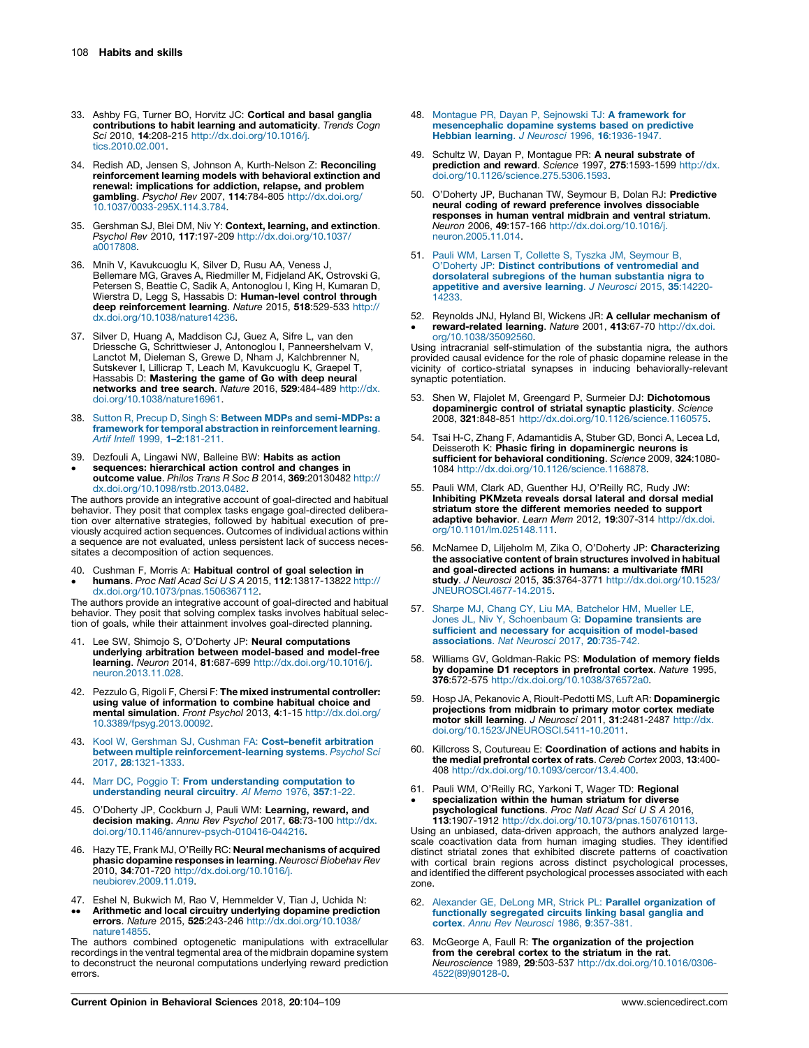- <span id="page-4-0"></span>33. Ashby FG, Turner BO, Horvitz JC: Cortical and basal ganglia contributions to habit learning and automaticity. Trends Cogn Sci 2010, 14:208-215 [http://dx.doi.org/10.1016/j.](http://dx.doi.org/10.1016/j.tics.2010.02.001) [tics.2010.02.001.](http://dx.doi.org/10.1016/j.tics.2010.02.001)
- 34. Redish AD, Jensen S, Johnson A, Kurth-Nelson Z: Reconciling reinforcement learning models with behavioral extinction and renewal: implications for addiction, relapse, and problem gambling. Psychol Rev 2007, 114:784-805 [http://dx.doi.org/](http://dx.doi.org/10.1037/0033-295X.114.3.784) [10.1037/0033-295X.114.3.784](http://dx.doi.org/10.1037/0033-295X.114.3.784).
- 35. Gershman SJ, Blei DM, Niv Y: Context, learning, and extinction. Psychol Rev 2010, 117:197-209 [http://dx.doi.org/10.1037/](http://dx.doi.org/10.1037/a0017808) [a0017808](http://dx.doi.org/10.1037/a0017808).
- 36. Mnih V, Kavukcuoglu K, Silver D, Rusu AA, Veness J, Bellemare MG, Graves A, Riedmiller M, Fidjeland AK, Ostrovski G, Petersen S, Beattie C, Sadik A, Antonoglou I, King H, Kumaran D, Wierstra D, Legg S, Hassabis D: Human-level control through deep reinforcement learning. Nature 2015, 518:529-533 [http://](http://dx.doi.org/10.1038/nature14236) [dx.doi.org/10.1038/nature14236.](http://dx.doi.org/10.1038/nature14236)
- 37. Silver D, Huang A, Maddison CJ, Guez A, Sifre L, van den Driessche G, Schrittwieser J, Antonoglou I, Panneershelvam V, Lanctot M, Dieleman S, Grewe D, Nham J, Kalchbrenner N, Sutskever I, Lillicrap T, Leach M, Kavukcuoglu K, Graepel T, Hassabis D: Mastering the game of Go with deep neural networks and tree search. Nature 2016, 529:484-489 [http://dx.](http://dx.doi.org/10.1038/nature16961) [doi.org/10.1038/nature16961.](http://dx.doi.org/10.1038/nature16961)
- 38. Sutton R, Precup D, Singh S: Between MDPs and [semi-MDPs:](http://refhub.elsevier.com/S2352-1546(17)30215-2/sbref0190) a framework for temporal abstraction in [reinforcement](http://refhub.elsevier.com/S2352-1546(17)30215-2/sbref0190) learning. Artif Intell 1999, **1-2**[:181-211.](http://refhub.elsevier.com/S2352-1546(17)30215-2/sbref0190)
- 39. Dezfouli A, Lingawi NW, Balleine BW: Habits as action
- <u>•</u> sequences: hierarchical action control and changes in outcome value. Philos Trans R Soc B 2014, 369:20130482 [http://](http://dx.doi.org/10.1098/rstb.2013.0482) [dx.doi.org/10.1098/rstb.2013.0482](http://dx.doi.org/10.1098/rstb.2013.0482).

The authors provide an integrative account of goal-directed and habitual behavior. They posit that complex tasks engage goal-directed deliberation over alternative strategies, followed by habitual execution of previously acquired action sequences. Outcomes of individual actions within a sequence are not evaluated, unless persistent lack of success necessitates a decomposition of action sequences.

- 40. Cushman F, Morris A: Habitual control of goal selection in
- $\bullet$ humans. Proc Natl Acad Sci U S A 2015, 112:13817-13822 [http://](http://dx.doi.org/10.1073/pnas.1506367112) [dx.doi.org/10.1073/pnas.1506367112.](http://dx.doi.org/10.1073/pnas.1506367112)

The authors provide an integrative account of goal-directed and habitual behavior. They posit that solving complex tasks involves habitual selection of goals, while their attainment involves goal-directed planning.

- Lee SW, Shimojo S, O'Doherty JP: Neural computations underlying arbitration between model-based and model-free learning. Neuron 2014, 81:687-699 [http://dx.doi.org/10.1016/j.](http://dx.doi.org/10.1016/j.neuron.2013.11.028) [neuron.2013.11.028.](http://dx.doi.org/10.1016/j.neuron.2013.11.028)
- 42. Pezzulo G, Rigoli F, Chersi F: The mixed instrumental controller: using value of information to combine habitual choice and mental simulation. Front Psychol 2013, 4:1-15 [http://dx.doi.org/](http://dx.doi.org/10.3389/fpsyg.2013.00092) [10.3389/fpsyg.2013.00092](http://dx.doi.org/10.3389/fpsyg.2013.00092).
- 43. Kool W, Gershman SJ, Cushman FA: Cost-benefit arbitration between multiple [reinforcement-learning](http://refhub.elsevier.com/S2352-1546(17)30215-2/sbref0215) systems. Psychol Sci 2017, 28[:1321-1333.](http://refhub.elsevier.com/S2352-1546(17)30215-2/sbref0215)
- 44. Marr DC, Poggio T: From [understanding](http://refhub.elsevier.com/S2352-1546(17)30215-2/sbref0220) computation to [understanding](http://refhub.elsevier.com/S2352-1546(17)30215-2/sbref0220) neural circuitry. AI Memo 1976, 357:1-22.
- 45. O'Doherty JP, Cockburn J, Pauli WM: Learning, reward, and decision making. Annu Rev Psychol 2017, 68:73-100 [http://dx.](http://dx.doi.org/10.1146/annurev-psych-010416-044216) [doi.org/10.1146/annurev-psych-010416-044216.](http://dx.doi.org/10.1146/annurev-psych-010416-044216)
- 46. Hazy TE, Frank MJ, O'Reilly RC: Neural mechanisms of acquired phasic dopamine responses in learning. Neurosci Biobehav Rev 2010, 34:701-720 [http://dx.doi.org/10.1016/j.](http://dx.doi.org/10.1016/j.neubiorev.2009.11.019) [neubiorev.2009.11.019.](http://dx.doi.org/10.1016/j.neubiorev.2009.11.019)
- 47. Eshel N, Bukwich M, Rao V, Hemmelder V, Tian J, Uchida N:
- $\ddot{\phantom{0}}$ Arithmetic and local circuitry underlying dopamine prediction errors. Nature 2015, 525:243-246 [http://dx.doi.org/10.1038/](http://dx.doi.org/10.1038/nature14855) [nature14855](http://dx.doi.org/10.1038/nature14855).

The authors combined optogenetic manipulations with extracellular recordings in the ventral tegmental area of the midbrain dopamine system to deconstruct the neuronal computations underlying reward prediction errors.

- 48. Montague PR, Dayan P, Sejnowski TJ: A [framework](http://refhub.elsevier.com/S2352-1546(17)30215-2/sbref0240) for [mesencephalic](http://refhub.elsevier.com/S2352-1546(17)30215-2/sbref0240) dopamine systems based on predictive Hebbian learning. J Neurosci 1996, 16[:1936-1947.](http://refhub.elsevier.com/S2352-1546(17)30215-2/sbref0240)
- 49. Schultz W, Dayan P, Montague PR: A neural substrate of prediction and reward. Science 1997, 275:1593-1599 [http://dx.](http://dx.doi.org/10.1126/science.275.5306.1593) [doi.org/10.1126/science.275.5306.1593](http://dx.doi.org/10.1126/science.275.5306.1593).
- 50. O'Doherty JP, Buchanan TW, Seymour B, Dolan RJ: Predictive neural coding of reward preference involves dissociable responses in human ventral midbrain and ventral striatum. Neuron 2006, 49:157-166 [http://dx.doi.org/10.1016/j.](http://dx.doi.org/10.1016/j.neuron.2005.11.014) [neuron.2005.11.014](http://dx.doi.org/10.1016/j.neuron.2005.11.014).
- 51. Pauli WM, Larsen T, Collette S, Tyszka JM, [Seymour](http://refhub.elsevier.com/S2352-1546(17)30215-2/sbref0255) B, O'Doherty JP: Distinct [contributions](http://refhub.elsevier.com/S2352-1546(17)30215-2/sbref0255) of ventromedial and [dorsolateral](http://refhub.elsevier.com/S2352-1546(17)30215-2/sbref0255) subregions of the human substantia nigra to [appetitive](http://refhub.elsevier.com/S2352-1546(17)30215-2/sbref0255) and aversive learning. J Neurosci 2015, 35:14220- [14233.](http://refhub.elsevier.com/S2352-1546(17)30215-2/sbref0255)
- 52. Reynolds JNJ, Hyland BI, Wickens JR: A cellular mechanism of  $\cdot$ reward-related learning. Nature 2001, 413:67-70 [http://dx.doi.](http://dx.doi.org/10.1038/35092560) [org/10.1038/35092560](http://dx.doi.org/10.1038/35092560).

Using intracranial self-stimulation of the substantia nigra, the authors provided causal evidence for the role of phasic dopamine release in the vicinity of cortico-striatal synapses in inducing behaviorally-relevant synaptic potentiation.

- 53. Shen W, Flajolet M, Greengard P, Surmeier DJ: Dichotomous dopaminergic control of striatal synaptic plasticity. Science 2008, 321:848-851 <http://dx.doi.org/10.1126/science.1160575>.
- 54. Tsai H-C, Zhang F, Adamantidis A, Stuber GD, Bonci A, Lecea Ld,<br>Deisseroth K: **Phasic firing in dopaminergic neurons is** sufficient for behavioral conditioning. Science 2009, 324:1080- 1084 <http://dx.doi.org/10.1126/science.1168878>.
- 55. Pauli WM, Clark AD, Guenther HJ, O'Reilly RC, Rudy JW: Inhibiting PKMzeta reveals dorsal lateral and dorsal medial striatum store the different memories needed to support adaptive behavior. Learn Mem 2012, 19:307-314 [http://dx.doi.](http://dx.doi.org/10.1101/lm.025148.111) [org/10.1101/lm.025148.111.](http://dx.doi.org/10.1101/lm.025148.111)
- 56. McNamee D, Liljeholm M, Zika O, O'Doherty JP: Characterizing the associative content of brain structures involved in habitual and goal-directed actions in humans: a multivariate fMRI study. J Neurosci 2015, 35:3764-3771 [http://dx.doi.org/10.1523/](http://dx.doi.org/10.1523/JNEUROSCI.4677-14.2015) [JNEUROSCI.4677-14.2015](http://dx.doi.org/10.1523/JNEUROSCI.4677-14.2015).
- 57. Sharpe MJ, Chang CY, Liu MA, [Batchelor](http://refhub.elsevier.com/S2352-1546(17)30215-2/sbref0285) HM, Mueller LE, Jones JL, Niv Y, [Schoenbaum](http://refhub.elsevier.com/S2352-1546(17)30215-2/sbref0285) G: Dopamine transients are sufficient and necessary for acquisition of [model-based](http://refhub.elsevier.com/S2352-1546(17)30215-2/sbref0285) [associations](http://refhub.elsevier.com/S2352-1546(17)30215-2/sbref0285). Nat Neurosci 2017, 20:735-742.
- 58. Williams GV, Goldman-Rakic PS: Modulation of memory fields by dopamine D1 receptors in prefrontal cortex. Nature 1995, 376:572-575 <http://dx.doi.org/10.1038/376572a0>.
- 59. Hosp JA, Pekanovic A, Rioult-Pedotti MS, Luft AR: Dopaminergic projections from midbrain to primary motor cortex mediate<br>motor skill learning. J Neurosci 2011, 31:2481-2487 [http://dx.](http://dx.doi.org/10.1523/JNEUROSCI.5411-10.2011)<br>[doi.org/10.1523/JNEUROSCI.5411-10.2011.](http://dx.doi.org/10.1523/JNEUROSCI.5411-10.2011)
- 60. Killcross S, Coutureau E: Coordination of actions and habits in the medial prefrontal cortex of rats. Cereb Cortex 2003, 13:400- 408 <http://dx.doi.org/10.1093/cercor/13.4.400>.
- 61. Pauli WM, O'Reilly RC, Yarkoni T, Wager TD: Regional  $\cdot$ specialization within the human striatum for diverse psychological functions. Proc Natl Acad Sci U S A 2016, 113:1907-1912 <http://dx.doi.org/10.1073/pnas.1507610113>.

Using an unbiased, data-driven approach, the authors analyzed largescale coactivation data from human imaging studies. They identified distinct striatal zones that exhibited discrete patterns of coactivation with cortical brain regions across distinct psychological processes, and identified the different psychological processes associated with each zone.

- 62. Alexander GE, DeLong MR, Strick PL: Parallel [organization](http://refhub.elsevier.com/S2352-1546(17)30215-2/sbref0310) of [functionally](http://refhub.elsevier.com/S2352-1546(17)30215-2/sbref0310) segregated circuits linking basal ganglia and cortex. Annu Rev Neurosci 1986, 9[:357-381.](http://refhub.elsevier.com/S2352-1546(17)30215-2/sbref0310)
- 63. McGeorge A, Faull R: The organization of the projection from the cerebral cortex to the striatum in the rat. Neuroscience 1989, 29:503-537 [http://dx.doi.org/10.1016/0306-](http://dx.doi.org/10.1016/0306-4522(89)90128-0) [4522\(89\)90128-0.](http://dx.doi.org/10.1016/0306-4522(89)90128-0)